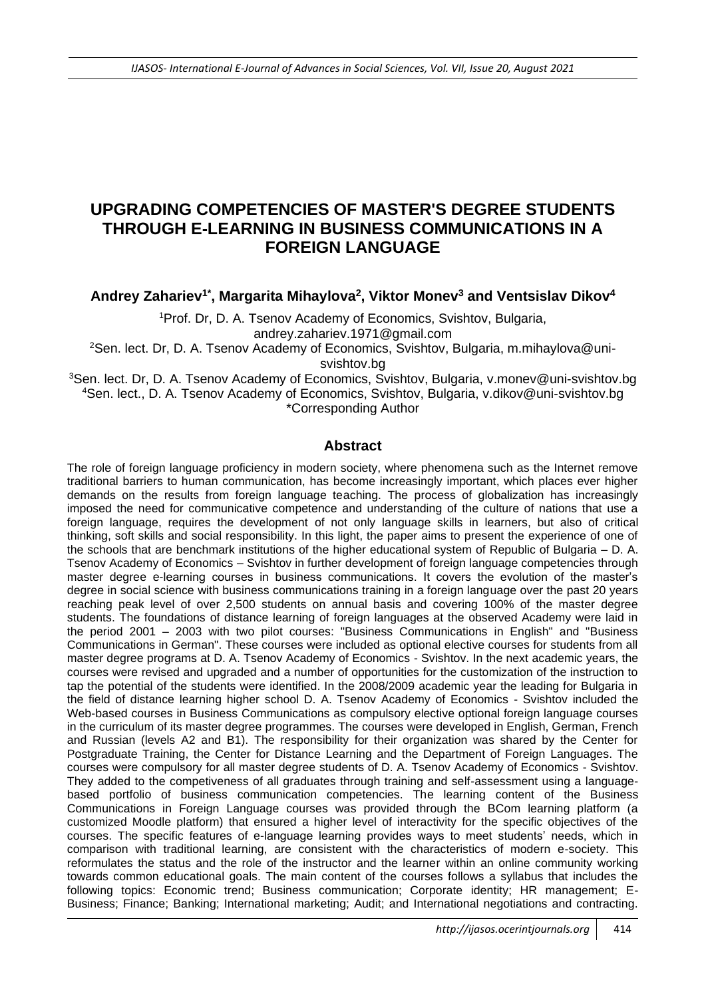# **UPGRADING COMPETENCIES OF MASTER'S DEGREE STUDENTS THROUGH E-LEARNING IN BUSINESS COMMUNICATIONS IN A FOREIGN LANGUAGE**

**Andrey Zahariev1\*, Margarita Mihaylova<sup>2</sup> , Viktor Monev<sup>3</sup> and Ventsislav Dikov<sup>4</sup>**

<sup>1</sup>Prof. Dr, D. A. Tsenov Academy of Economics, Svishtov, Bulgaria, andrey.zahariev.1971@gmail.com

<sup>2</sup>Sen. lect. Dr, D. A. Tsenov Academy of Economics, Svishtov, Bulgaria, m.mihaylova@unisvishtov.bg

<sup>3</sup>Sen. lect. Dr, D. A. Tsenov Academy of Economics, Svishtov, Bulgaria, v.monev@uni-svishtov.bg <sup>4</sup>Sen. lect., D. A. Tsenov Academy of Economics, Svishtov, Bulgaria, v.dikov@uni-svishtov.bg \*Corresponding Author

## **Abstract**

The role of foreign language proficiency in modern society, where phenomena such as the Internet remove traditional barriers to human communication, has become increasingly important, which places ever higher demands on the results from foreign language teaching. The process of globalization has increasingly imposed the need for communicative competence and understanding of the culture of nations that use a foreign language, requires the development of not only language skills in learners, but also of critical thinking, soft skills and social responsibility. In this light, the paper aims to present the experience of one of the schools that are benchmark institutions of the higher educational system of Republic of Bulgaria – D. A. Tsenov Academy of Economics – Svishtov in further development of foreign language competencies through master degree e-learning courses in business communications. It covers the evolution of the master's degree in social science with business communications training in a foreign language over the past 20 years reaching peak level of over 2,500 students on annual basis and covering 100% of the master degree students. The foundations of distance learning of foreign languages at the observed Academy were laid in the period 2001 – 2003 with two pilot courses: "Business Communications in English" and "Business Communications in German". These courses were included as optional elective courses for students from all master degree programs at D. A. Tsenov Academy of Economics - Svishtov. In the next academic years, the courses were revised and upgraded and a number of opportunities for the customization of the instruction to tap the potential of the students were identified. In the 2008/2009 academic year the leading for Bulgaria in the field of distance learning higher school D. A. Tsenov Academy of Economics - Svishtov included the Web-based courses in Business Communications as compulsory elective optional foreign language courses in the curriculum of its master degree programmes. The courses were developed in English, German, French and Russian (levels A2 and B1). The responsibility for their organization was shared by the Center for Postgraduate Training, the Center for Distance Learning and the Department of Foreign Languages. The courses were compulsory for all master degree students of D. A. Tsenov Academy of Economics - Svishtov. They added to the competiveness of all graduates through training and self-assessment using a languagebased portfolio of business communication competencies. The learning content of the Business Communications in Foreign Language courses was provided through the BCom learning platform (a customized Moodle platform) that ensured a higher level of interactivity for the specific objectives of the courses. The specific features of e-language learning provides ways to meet students' needs, which in comparison with traditional learning, are consistent with the characteristics of modern e-society. This reformulates the status and the role of the instructor and the learner within an online community working towards common educational goals. The main content of the courses follows a syllabus that includes the following topics: Economic trend; Business communication; Corporate identity; HR management; E-Business; Finance; Banking; International marketing; Audit; and International negotiations and contracting.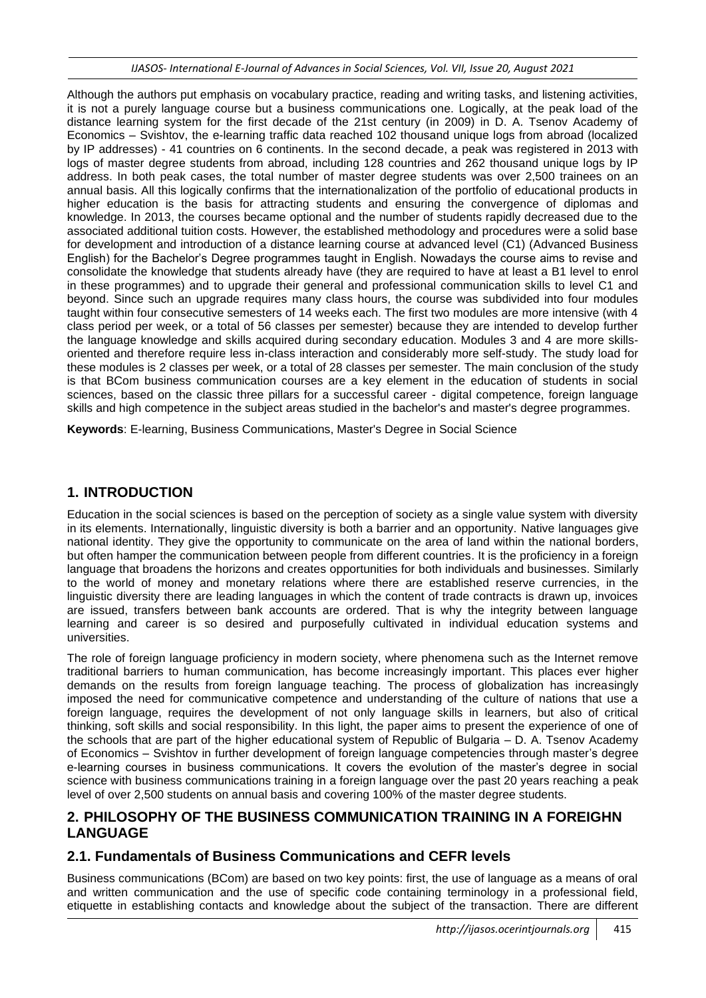Although the authors put emphasis on vocabulary practice, reading and writing tasks, and listening activities, it is not a purely language course but a business communications one. Logically, at the peak load of the distance learning system for the first decade of the 21st century (in 2009) in D. A. Tsenov Academy of Economics – Svishtov, the e-learning traffic data reached 102 thousand unique logs from abroad (localized by IP addresses) - 41 countries on 6 continents. In the second decade, a peak was registered in 2013 with logs of master degree students from abroad, including 128 countries and 262 thousand unique logs by IP address. In both peak cases, the total number of master degree students was over 2,500 trainees on an annual basis. All this logically confirms that the internationalization of the portfolio of educational products in higher education is the basis for attracting students and ensuring the convergence of diplomas and knowledge. In 2013, the courses became optional and the number of students rapidly decreased due to the associated additional tuition costs. However, the established methodology and procedures were a solid base for development and introduction of a distance learning course at advanced level (C1) (Advanced Business English) for the Bachelor's Degree programmes taught in English. Nowadays the course aims to revise and consolidate the knowledge that students already have (they are required to have at least a B1 level to enrol in these programmes) and to upgrade their general and professional communication skills to level C1 and beyond. Since such an upgrade requires many class hours, the course was subdivided into four modules taught within four consecutive semesters of 14 weeks each. The first two modules are more intensive (with 4 class period per week, or a total of 56 classes per semester) because they are intended to develop further the language knowledge and skills acquired during secondary education. Modules 3 and 4 are more skillsoriented and therefore require less in-class interaction and considerably more self-study. The study load for these modules is 2 classes per week, or a total of 28 classes per semester. The main conclusion of the study is that BCom business communication courses are a key element in the education of students in social sciences, based on the classic three pillars for a successful career - digital competence, foreign language skills and high competence in the subject areas studied in the bachelor's and master's degree programmes.

**Keywords**: E-learning, Business Communications, Master's Degree in Social Science

## **1. INTRODUCTION**

Education in the social sciences is based on the perception of society as a single value system with diversity in its elements. Internationally, linguistic diversity is both a barrier and an opportunity. Native languages give national identity. They give the opportunity to communicate on the area of land within the national borders, but often hamper the communication between people from different countries. It is the proficiency in a foreign language that broadens the horizons and creates opportunities for both individuals and businesses. Similarly to the world of money and monetary relations where there are established reserve currencies, in the linguistic diversity there are leading languages in which the content of trade contracts is drawn up, invoices are issued, transfers between bank accounts are ordered. That is why the integrity between language learning and career is so desired and purposefully cultivated in individual education systems and universities.

The role of foreign language proficiency in modern society, where phenomena such as the Internet remove traditional barriers to human communication, has become increasingly important. This places ever higher demands on the results from foreign language teaching. The process of globalization has increasingly imposed the need for communicative competence and understanding of the culture of nations that use a foreign language, requires the development of not only language skills in learners, but also of critical thinking, soft skills and social responsibility. In this light, the paper aims to present the experience of one of the schools that are part of the higher educational system of Republic of Bulgaria – D. A. Tsenov Academy of Economics – Svishtov in further development of foreign language competencies through master's degree e-learning courses in business communications. It covers the evolution of the master's degree in social science with business communications training in a foreign language over the past 20 years reaching a peak level of over 2,500 students on annual basis and covering 100% of the master degree students.

## **2. PHILOSOPHY OF THE BUSINESS COMMUNICATION TRAINING IN A FOREIGHN LANGUAGE**

## **2.1. Fundamentals of Business Communications and CEFR levels**

Business communications (BCom) are based on two key points: first, the use of language as a means of oral and written communication and the use of specific code containing terminology in a professional field, etiquette in establishing contacts and knowledge about the subject of the transaction. There are different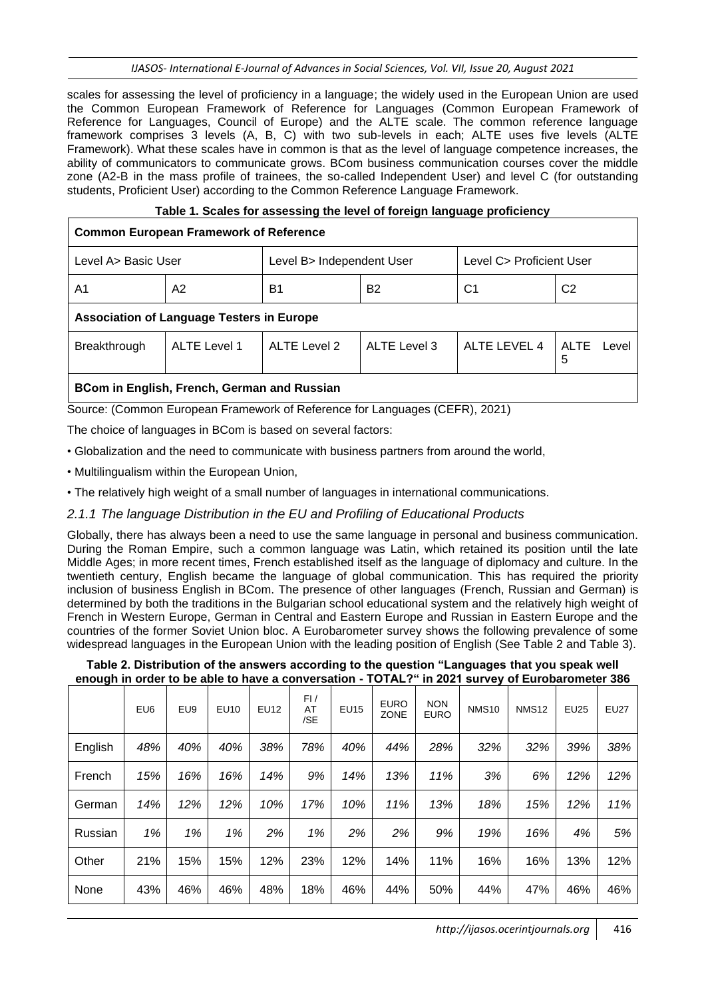scales for assessing the level of proficiency in a language; the widely used in the European Union are used the Common European Framework of Reference for Languages (Common European Framework of Reference for Languages, Council of Europe) and the ALTE scale. The common reference language framework comprises 3 levels (A, B, C) with two sub-levels in each; ALTE uses five levels (ALTE Framework). What these scales have in common is that as the level of language competence increases, the ability of communicators to communicate grows. BCom business communication courses cover the middle zone (A2-B in the mass profile of trainees, the so-called Independent User) and level C (for outstanding students, Proficient User) according to the Common Reference Language Framework.

#### **Table 1. Scales for assessing the level of foreign language proficiency**

### **Common European Framework of Reference**

| Level A> Basic User                              |                     | Level B> Independent User |                | Level C> Proficient User |                      |  |  |  |  |  |
|--------------------------------------------------|---------------------|---------------------------|----------------|--------------------------|----------------------|--|--|--|--|--|
| A1                                               | A2                  | B1                        | B <sub>2</sub> | C1                       | C <sub>2</sub>       |  |  |  |  |  |
| <b>Association of Language Testers in Europe</b> |                     |                           |                |                          |                      |  |  |  |  |  |
| Breakthrough                                     | <b>ALTE Level 1</b> |                           | ALTE Level 3   | ALTE LEVEL 4             | <b>ALTE</b><br>Level |  |  |  |  |  |

#### **BCоm in English, French, German and Russian**

Source: (Common European Framework of Reference for Languages (CEFR), 2021)

The choice of languages in BCom is based on several factors:

- Globalization and the need to communicate with business partners from around the world,
- Multilingualism within the European Union,
- The relatively high weight of a small number of languages in international communications.

#### *2.1.1 The language Distribution in the EU and Profiling of Educational Products*

Globally, there has always been a need to use the same language in personal and business communication. During the Roman Empire, such a common language was Latin, which retained its position until the late Middle Ages; in more recent times, French established itself as the language of diplomacy and culture. In the twentieth century, English became the language of global communication. This has required the priority inclusion of business English in BCom. The presence of other languages (French, Russian and German) is determined by both the traditions in the Bulgarian school educational system and the relatively high weight of French in Western Europe, German in Central and Eastern Europe and Russian in Eastern Europe and the countries of the former Soviet Union bloc. A Eurobarometer survey shows the following prevalence of some widespread languages in the European Union with the leading position of English (See Table 2 and Table 3).

#### **Table 2. Distribution of the answers according to the question "Languages that you speak well enough in order to be able to have a conversation - TOTAL?" in 2021 survey of Eurobarometer 386**

|         | EU6 | EU <sub>9</sub> | EU10 | EU12 | FI/<br>AT<br>/SE | <b>EU15</b> | <b>EURO</b><br><b>ZONE</b> | <b>NON</b><br><b>EURO</b> | <b>NMS10</b> | <b>NMS12</b> | <b>EU25</b> | <b>EU27</b> |
|---------|-----|-----------------|------|------|------------------|-------------|----------------------------|---------------------------|--------------|--------------|-------------|-------------|
| English | 48% | 40%             | 40%  | 38%  | 78%              | 40%         | 44%                        | 28%                       | 32%          | 32%          | 39%         | 38%         |
| French  | 15% | 16%             | 16%  | 14%  | 9%               | 14%         | 13%                        | 11%                       | 3%           | 6%           | 12%         | 12%         |
| German  | 14% | 12%             | 12%  | 10%  | 17%              | 10%         | 11%                        | 13%                       | 18%          | 15%          | 12%         | 11%         |
| Russian | 1%  | 1%              | 1%   | 2%   | 1%               | 2%          | 2%                         | 9%                        | 19%          | 16%          | 4%          | 5%          |
| Other   | 21% | 15%             | 15%  | 12%  | 23%              | 12%         | 14%                        | 11%                       | 16%          | 16%          | 13%         | 12%         |
| None    | 43% | 46%             | 46%  | 48%  | 18%              | 46%         | 44%                        | 50%                       | 44%          | 47%          | 46%         | 46%         |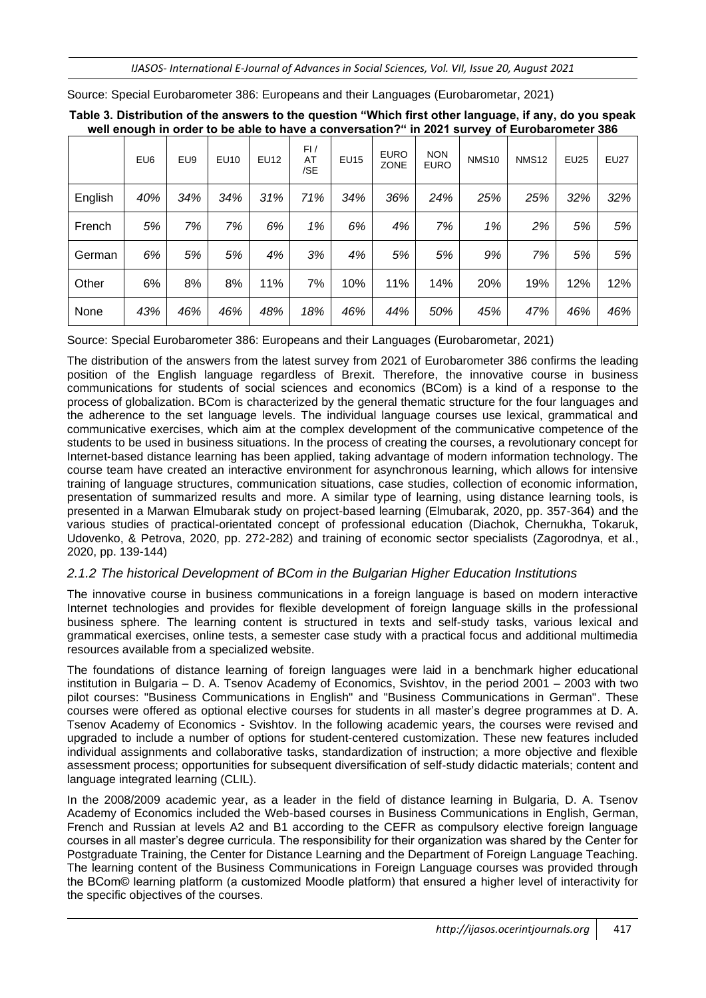*IJASOS- International E-Journal of Advances in Social Sciences, Vol. VII, Issue 20, August 2021*

|         | EU <sub>6</sub> | EU9 | <b>EU10</b> | <b>EU12</b> | FI/<br>AT<br>/SE | <b>EU15</b> | <b>EURO</b><br><b>ZONE</b> | <b>NON</b><br><b>EURO</b> | <b>NMS10</b> | <b>NMS12</b> | <b>EU25</b> | <b>EU27</b> |
|---------|-----------------|-----|-------------|-------------|------------------|-------------|----------------------------|---------------------------|--------------|--------------|-------------|-------------|
| English | 40%             | 34% | 34%         | 31%         | 71%              | 34%         | 36%                        | 24%                       | 25%          | 25%          | 32%         | 32%         |
| French  | 5%              | 7%  | 7%          | 6%          | 1%               | 6%          | 4%                         | 7%                        | 1%           | 2%           | 5%          | 5%          |
| German  | 6%              | 5%  | 5%          | 4%          | 3%               | 4%          | 5%                         | 5%                        | 9%           | 7%           | 5%          | 5%          |
| Other   | 6%              | 8%  | 8%          | 11%         | 7%               | 10%         | 11%                        | 14%                       | 20%          | 19%          | 12%         | 12%         |
| None    | 43%             | 46% | 46%         | 48%         | 18%              | 46%         | 44%                        | 50%                       | 45%          | 47%          | 46%         | 46%         |

Source: Special Eurobarometer 386: Europeans and their Languages (Eurobarometar, 2021)

**Table 3. Distribution of the answers to the question "Which first other language, if any, do you speak well enough in order to be able to have a conversation?" in 2021 survey of Eurobarometer 386**

Source: Special Eurobarometer 386: Europeans and their Languages (Eurobarometar, 2021)

The distribution of the answers from the latest survey from 2021 of Eurobarometer 386 confirms the leading position of the English language regardless of Brexit. Therefore, the innovative course in business communications for students of social sciences and economics (BCom) is a kind of a response to the process of globalization. BCom is characterized by the general thematic structure for the four languages and the adherence to the set language levels. The individual language courses use lexical, grammatical and communicative exercises, which aim at the complex development of the communicative competence of the students to be used in business situations. In the process of creating the courses, a revolutionary concept for Internet-based distance learning has been applied, taking advantage of modern information technology. The course team have created an interactive environment for asynchronous learning, which allows for intensive training of language structures, communication situations, case studies, collection of economic information, presentation of summarized results and more. A similar type of learning, using distance learning tools, is presented in a Marwan Elmubarak study on project-based learning (Elmubarak, 2020, pp. 357-364) and the various studies of practical-orientated concept of professional education (Diachok, Chernukha, Tokaruk, Udovenko, & Petrova, 2020, pp. 272-282) and training of economic sector specialists (Zagorodnya, et al., 2020, pp. 139-144)

## *2.1.2 The historical Development of BCom in the Bulgarian Higher Education Institutions*

The innovative course in business communications in a foreign language is based on modern interactive Internet technologies and provides for flexible development of foreign language skills in the professional business sphere. The learning content is structured in texts and self-study tasks, various lexical and grammatical exercises, online tests, a semester case study with a practical focus and additional multimedia resources available from a specialized website.

The foundations of distance learning of foreign languages were laid in a benchmark higher educational institution in Bulgaria – D. A. Tsenov Academy of Economics, Svishtov, in the period 2001 – 2003 with two pilot courses: "Business Communications in English" and "Business Communications in German". These courses were offered as optional elective courses for students in all master's degree programmes at D. A. Tsenov Academy of Economics - Svishtov. In the following academic years, the courses were revised and upgraded to include a number of options for student-centered customization. These new features included individual assignments and collaborative tasks, standardization of instruction; a more objective and flexible assessment process; opportunities for subsequent diversification of self-study didactic materials; content and language integrated learning (CLIL).

In the 2008/2009 academic year, as a leader in the field of distance learning in Bulgaria, D. A. Tsenov Academy of Economics included the Web-based courses in Business Communications in English, German, French and Russian at levels A2 and B1 according to the CEFR as compulsory elective foreign language courses in all master's degree curricula. The responsibility for their organization was shared by the Center for Postgraduate Training, the Center for Distance Learning and the Department of Foreign Language Teaching. The learning content of the Business Communications in Foreign Language courses was provided through the BCom© learning platform (a customized Moodle platform) that ensured a higher level of interactivity for the specific objectives of the courses.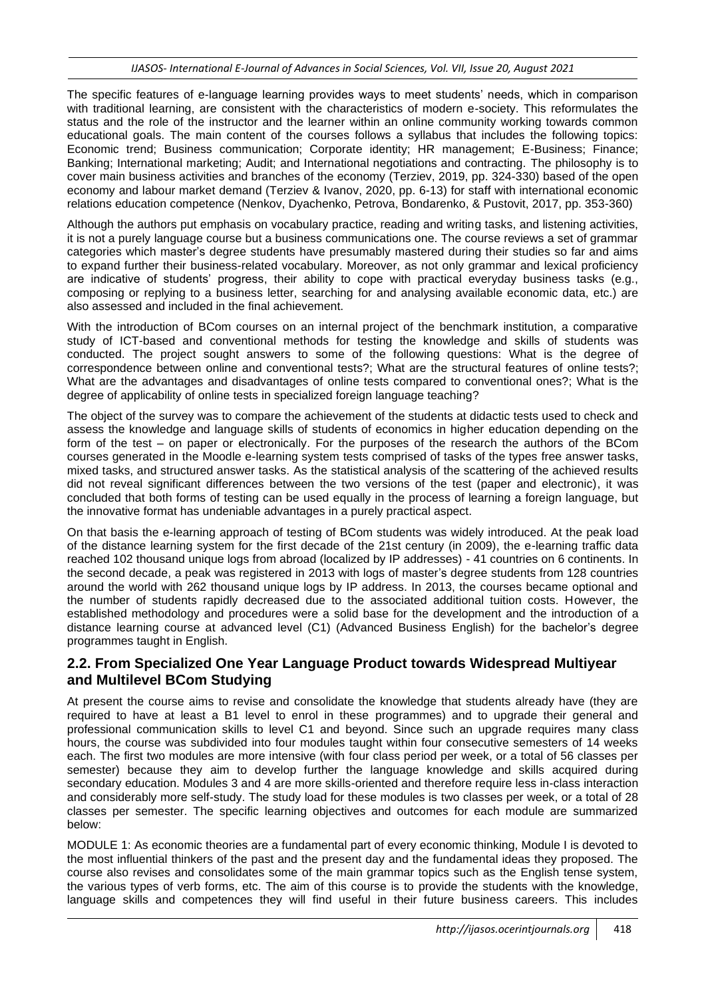The specific features of e-language learning provides ways to meet students' needs, which in comparison with traditional learning, are consistent with the characteristics of modern e-society. This reformulates the status and the role of the instructor and the learner within an online community working towards common educational goals. The main content of the courses follows a syllabus that includes the following topics: Economic trend; Business communication; Corporate identity; HR management; E-Business; Finance; Banking; International marketing; Audit; and International negotiations and contracting. The philosophy is to cover main business activities and branches of the economy (Terziev, 2019, pp. 324-330) based of the open economy and labour market demand (Terziev & Ivanov, 2020, pp. 6-13) for staff with international economic relations education competence (Nenkov, Dyachenko, Petrova, Bondarenko, & Pustovit, 2017, pp. 353-360)

Although the authors put emphasis on vocabulary practice, reading and writing tasks, and listening activities, it is not a purely language course but a business communications one. The course reviews a set of grammar categories which master's degree students have presumably mastered during their studies so far and aims to expand further their business-related vocabulary. Moreover, as not only grammar and lexical proficiency are indicative of students' progress, their ability to cope with practical everyday business tasks (e.g., composing or replying to a business letter, searching for and analysing available economic data, etc.) are also assessed and included in the final achievement.

With the introduction of BCom courses on an internal project of the benchmark institution, a comparative study of ICT-based and conventional methods for testing the knowledge and skills of students was conducted. The project sought answers to some of the following questions: What is the degree of correspondence between online and conventional tests?; What are the structural features of online tests?; What are the advantages and disadvantages of online tests compared to conventional ones?; What is the degree of applicability of online tests in specialized foreign language teaching?

The object of the survey was to compare the achievement of the students at didactic tests used to check and assess the knowledge and language skills of students of economics in higher education depending on the form of the test – on paper or electronically. For the purposes of the research the authors of the BCom courses generated in the Moodle e-learning system tests comprised of tasks of the types free answer tasks, mixed tasks, and structured answer tasks. As the statistical analysis of the scattering of the achieved results did not reveal significant differences between the two versions of the test (paper and electronic), it was concluded that both forms of testing can be used equally in the process of learning a foreign language, but the innovative format has undeniable advantages in a purely practical aspect.

On that basis the e-learning approach of testing of BCom students was widely introduced. At the peak load of the distance learning system for the first decade of the 21st century (in 2009), the e-learning traffic data reached 102 thousand unique logs from abroad (localized by IP addresses) - 41 countries on 6 continents. In the second decade, a peak was registered in 2013 with logs of master's degree students from 128 countries around the world with 262 thousand unique logs by IP address. In 2013, the courses became optional and the number of students rapidly decreased due to the associated additional tuition costs. However, the established methodology and procedures were a solid base for the development and the introduction of a distance learning course at advanced level (C1) (Advanced Business English) for the bachelor's degree programmes taught in English.

### **2.2. From Specialized One Year Language Product towards Widespread Multiyear and Multilevel BCom Studying**

At present the course aims to revise and consolidate the knowledge that students already have (they are required to have at least a B1 level to enrol in these programmes) and to upgrade their general and professional communication skills to level C1 and beyond. Since such an upgrade requires many class hours, the course was subdivided into four modules taught within four consecutive semesters of 14 weeks each. The first two modules are more intensive (with four class period per week, or a total of 56 classes per semester) because they aim to develop further the language knowledge and skills acquired during secondary education. Modules 3 and 4 are more skills-oriented and therefore require less in-class interaction and considerably more self-study. The study load for these modules is two classes per week, or a total of 28 classes per semester. The specific learning objectives and outcomes for each module are summarized below:

MODULE 1: As economic theories are a fundamental part of every economic thinking, Module I is devoted to the most influential thinkers of the past and the present day and the fundamental ideas they proposed. The course also revises and consolidates some of the main grammar topics such as the English tense system, the various types of verb forms, etc. The aim of this course is to provide the students with the knowledge, language skills and competences they will find useful in their future business careers. This includes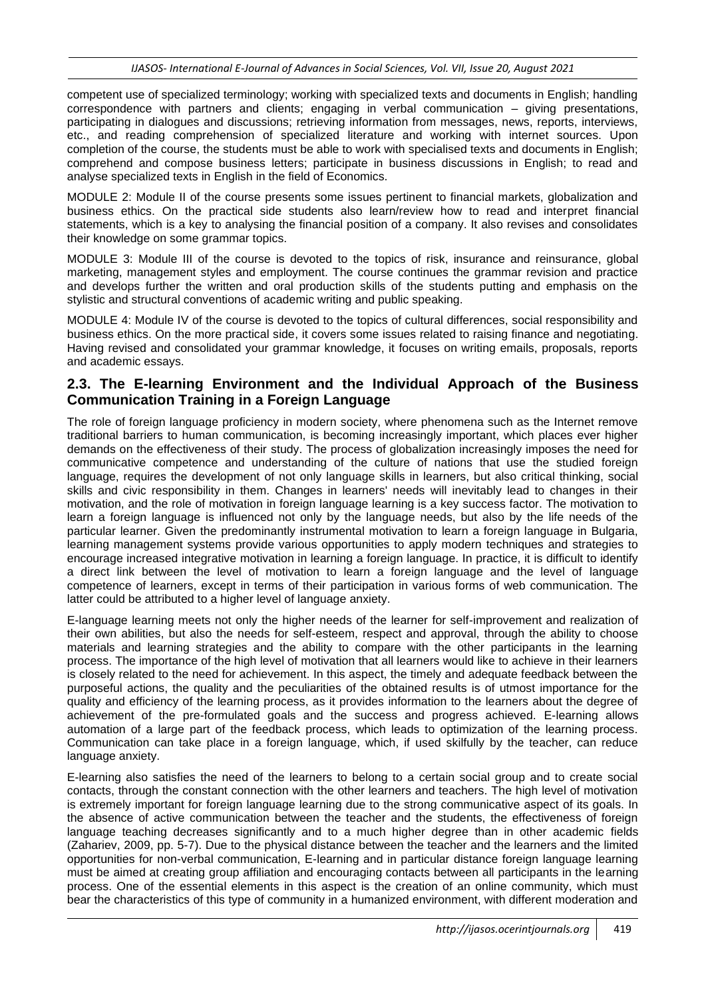competent use of specialized terminology; working with specialized texts and documents in English; handling correspondence with partners and clients; engaging in verbal communication – giving presentations, participating in dialogues and discussions; retrieving information from messages, news, reports, interviews, etc., and reading comprehension of specialized literature and working with internet sources. Upon completion of the course, the students must be able to work with specialised texts and documents in English; comprehend and compose business letters; participate in business discussions in English; to read and analyse specialized texts in English in the field of Economics.

MODULE 2: Module II of the course presents some issues pertinent to financial markets, globalization and business ethics. On the practical side students also learn/review how to read and interpret financial statements, which is a key to analysing the financial position of a company. It also revises and consolidates their knowledge on some grammar topics.

MODULE 3: Module III of the course is devoted to the topics of risk, insurance and reinsurance, global marketing, management styles and employment. The course continues the grammar revision and practice and develops further the written and oral production skills of the students putting and emphasis on the stylistic and structural conventions of academic writing and public speaking.

MODULE 4: Module IV of the course is devoted to the topics of cultural differences, social responsibility and business ethics. On the more practical side, it covers some issues related to raising finance and negotiating. Having revised and consolidated your grammar knowledge, it focuses on writing emails, proposals, reports and academic essays.

### **2.3. The E-learning Environment and the Individual Approach of the Business Communication Training in a Foreign Language**

The role of foreign language proficiency in modern society, where phenomena such as the Internet remove traditional barriers to human communication, is becoming increasingly important, which places ever higher demands on the effectiveness of their study. The process of globalization increasingly imposes the need for communicative competence and understanding of the culture of nations that use the studied foreign language, requires the development of not only language skills in learners, but also critical thinking, social skills and civic responsibility in them. Changes in learners' needs will inevitably lead to changes in their motivation, and the role of motivation in foreign language learning is a key success factor. The motivation to learn a foreign language is influenced not only by the language needs, but also by the life needs of the particular learner. Given the predominantly instrumental motivation to learn a foreign language in Bulgaria, learning management systems provide various opportunities to apply modern techniques and strategies to encourage increased integrative motivation in learning a foreign language. In practice, it is difficult to identify a direct link between the level of motivation to learn a foreign language and the level of language competence of learners, except in terms of their participation in various forms of web communication. The latter could be attributed to a higher level of language anxiety.

E-language learning meets not only the higher needs of the learner for self-improvement and realization of their own abilities, but also the needs for self-esteem, respect and approval, through the ability to choose materials and learning strategies and the ability to compare with the other participants in the learning process. The importance of the high level of motivation that all learners would like to achieve in their learners is closely related to the need for achievement. In this aspect, the timely and adequate feedback between the purposeful actions, the quality and the peculiarities of the obtained results is of utmost importance for the quality and efficiency of the learning process, as it provides information to the learners about the degree of achievement of the pre-formulated goals and the success and progress achieved. E-learning allows automation of a large part of the feedback process, which leads to optimization of the learning process. Communication can take place in a foreign language, which, if used skilfully by the teacher, can reduce language anxiety.

E-learning also satisfies the need of the learners to belong to a certain social group and to create social contacts, through the constant connection with the other learners and teachers. The high level of motivation is extremely important for foreign language learning due to the strong communicative aspect of its goals. In the absence of active communication between the teacher and the students, the effectiveness of foreign language teaching decreases significantly and to a much higher degree than in other academic fields (Zahariev, 2009, pp. 5-7). Due to the physical distance between the teacher and the learners and the limited opportunities for non-verbal communication, E-learning and in particular distance foreign language learning must be aimed at creating group affiliation and encouraging contacts between all participants in the learning process. One of the essential elements in this aspect is the creation of an online community, which must bear the characteristics of this type of community in a humanized environment, with different moderation and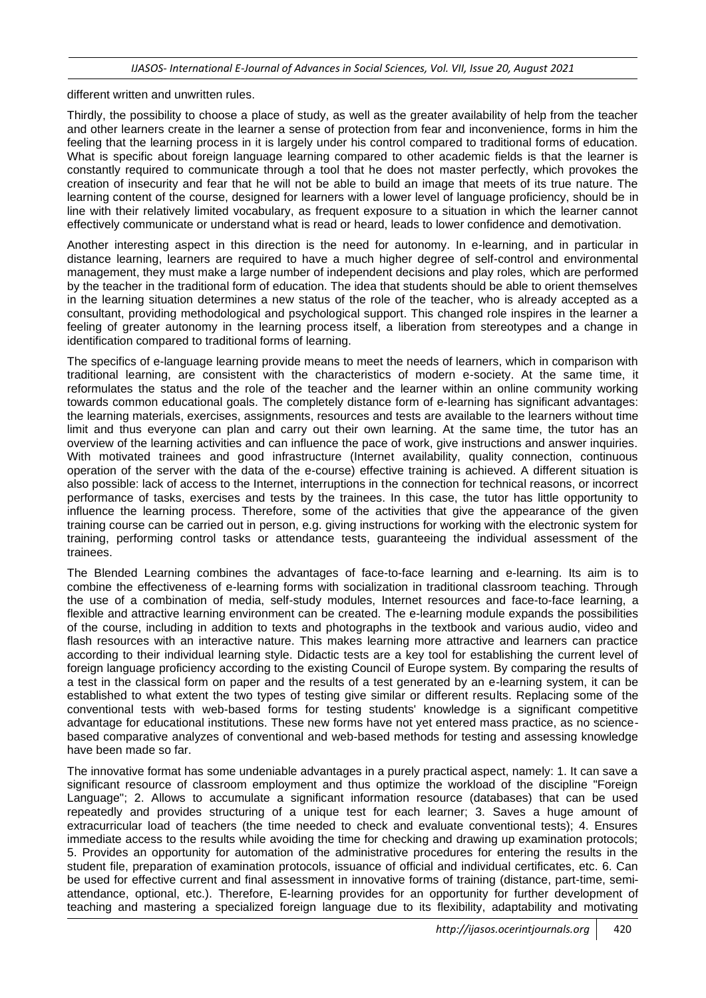different written and unwritten rules.

Thirdly, the possibility to choose a place of study, as well as the greater availability of help from the teacher and other learners create in the learner a sense of protection from fear and inconvenience, forms in him the feeling that the learning process in it is largely under his control compared to traditional forms of education. What is specific about foreign language learning compared to other academic fields is that the learner is constantly required to communicate through a tool that he does not master perfectly, which provokes the creation of insecurity and fear that he will not be able to build an image that meets of its true nature. The learning content of the course, designed for learners with a lower level of language proficiency, should be in line with their relatively limited vocabulary, as frequent exposure to a situation in which the learner cannot effectively communicate or understand what is read or heard, leads to lower confidence and demotivation.

Another interesting aspect in this direction is the need for autonomy. In e-learning, and in particular in distance learning, learners are required to have a much higher degree of self-control and environmental management, they must make a large number of independent decisions and play roles, which are performed by the teacher in the traditional form of education. The idea that students should be able to orient themselves in the learning situation determines a new status of the role of the teacher, who is already accepted as a consultant, providing methodological and psychological support. This changed role inspires in the learner a feeling of greater autonomy in the learning process itself, a liberation from stereotypes and a change in identification compared to traditional forms of learning.

The specifics of e-language learning provide means to meet the needs of learners, which in comparison with traditional learning, are consistent with the characteristics of modern e-society. At the same time, it reformulates the status and the role of the teacher and the learner within an online community working towards common educational goals. The completely distance form of e-learning has significant advantages: the learning materials, exercises, assignments, resources and tests are available to the learners without time limit and thus everyone can plan and carry out their own learning. At the same time, the tutor has an overview of the learning activities and can influence the pace of work, give instructions and answer inquiries. With motivated trainees and good infrastructure (Internet availability, quality connection, continuous operation of the server with the data of the e-course) effective training is achieved. A different situation is also possible: lack of access to the Internet, interruptions in the connection for technical reasons, or incorrect performance of tasks, exercises and tests by the trainees. In this case, the tutor has little opportunity to influence the learning process. Therefore, some of the activities that give the appearance of the given training course can be carried out in person, e.g. giving instructions for working with the electronic system for training, performing control tasks or attendance tests, guaranteeing the individual assessment of the trainees.

The Blended Learning combines the advantages of face-to-face learning and e-learning. Its aim is to combine the effectiveness of e-learning forms with socialization in traditional classroom teaching. Through the use of a combination of media, self-study modules, Internet resources and face-to-face learning, a flexible and attractive learning environment can be created. The e-learning module expands the possibilities of the course, including in addition to texts and photographs in the textbook and various audio, video and flash resources with an interactive nature. This makes learning more attractive and learners can practice according to their individual learning style. Didactic tests are a key tool for establishing the current level of foreign language proficiency according to the existing Council of Europe system. By comparing the results of a test in the classical form on paper and the results of a test generated by an e-learning system, it can be established to what extent the two types of testing give similar or different results. Replacing some of the conventional tests with web-based forms for testing students' knowledge is a significant competitive advantage for educational institutions. These new forms have not yet entered mass practice, as no sciencebased comparative analyzes of conventional and web-based methods for testing and assessing knowledge have been made so far.

The innovative format has some undeniable advantages in a purely practical aspect, namely: 1. It can save a significant resource of classroom employment and thus optimize the workload of the discipline "Foreign Language"; 2. Allows to accumulate a significant information resource (databases) that can be used repeatedly and provides structuring of a unique test for each learner; 3. Saves a huge amount of extracurricular load of teachers (the time needed to check and evaluate conventional tests); 4. Ensures immediate access to the results while avoiding the time for checking and drawing up examination protocols; 5. Provides an opportunity for automation of the administrative procedures for entering the results in the student file, preparation of examination protocols, issuance of official and individual certificates, etc. 6. Can be used for effective current and final assessment in innovative forms of training (distance, part-time, semiattendance, optional, etc.). Therefore, E-learning provides for an opportunity for further development of teaching and mastering a specialized foreign language due to its flexibility, adaptability and motivating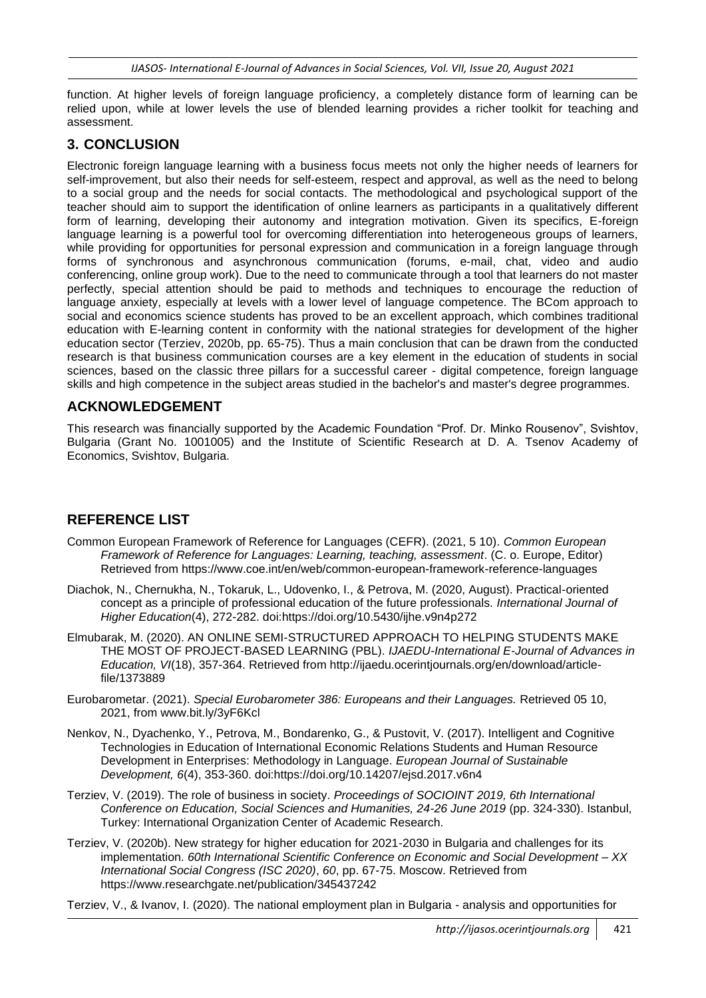function. At higher levels of foreign language proficiency, a completely distance form of learning can be relied upon, while at lower levels the use of blended learning provides a richer toolkit for teaching and assessment.

## **3. CONCLUSION**

Electronic foreign language learning with a business focus meets not only the higher needs of learners for self-improvement, but also their needs for self-esteem, respect and approval, as well as the need to belong to a social group and the needs for social contacts. The methodological and psychological support of the teacher should aim to support the identification of online learners as participants in a qualitatively different form of learning, developing their autonomy and integration motivation. Given its specifics, E-foreign language learning is a powerful tool for overcoming differentiation into heterogeneous groups of learners, while providing for opportunities for personal expression and communication in a foreign language through forms of synchronous and asynchronous communication (forums, e-mail, chat, video and audio conferencing, online group work). Due to the need to communicate through a tool that learners do not master perfectly, special attention should be paid to methods and techniques to encourage the reduction of language anxiety, especially at levels with a lower level of language competence. The BCom approach to social and economics science students has proved to be an excellent approach, which combines traditional education with E-learning content in conformity with the national strategies for development of the higher education sector (Terziev, 2020b, pp. 65-75). Thus a main conclusion that can be drawn from the conducted research is that business communication courses are a key element in the education of students in social sciences, based on the classic three pillars for a successful career - digital competence, foreign language skills and high competence in the subject areas studied in the bachelor's and master's degree programmes.

## **ACKNOWLEDGEMENT**

This research was financially supported by the Academic Foundation "Prof. Dr. Minko Rousenov", Svishtov, Bulgaria (Grant No. 1001005) and the Institute of Scientific Research at D. A. Tsenov Academy of Economics, Svishtov, Bulgaria.

## **REFERENCE LIST**

- Common European Framework of Reference for Languages (CEFR). (2021, 5 10). *Common European Framework of Reference for Languages: Learning, teaching, assessment*. (C. o. Europe, Editor) Retrieved from https://www.coe.int/en/web/common-european-framework-reference-languages
- Diachok, N., Chernukha, N., Tokaruk, L., Udovenko, I., & Petrova, M. (2020, August). Practical-oriented concept as a principle of professional education of the future professionals. *International Journal of Higher Education*(4), 272-282. doi:https://doi.org/10.5430/ijhe.v9n4p272
- Elmubarak, M. (2020). AN ONLINE SEMI-STRUCTURED APPROACH TO HELPING STUDENTS MAKE THE MOST OF PROJECT-BASED LEARNING (PBL). *IJAEDU-International E-Journal of Advances in Education, VI*(18), 357-364. Retrieved from http://ijaedu.ocerintjournals.org/en/download/articlefile/1373889
- Eurobarometar. (2021). *Special Eurobarometer 386: Europeans and their Languages.* Retrieved 05 10, 2021, from www.bit.ly/3yF6Kcl
- Nenkov, N., Dyachenko, Y., Petrova, M., Bondarenko, G., & Pustovit, V. (2017). Intelligent and Cognitive Technologies in Education of International Economic Relations Students and Human Resource Development in Enterprises: Methodology in Language. *European Journal of Sustainable Development, 6*(4), 353-360. doi:https://doi.org/10.14207/ejsd.2017.v6n4
- Terziev, V. (2019). The role of business in society. *Proceedings of SOCIOINT 2019, 6th International Conference on Education, Social Sciences and Humanities, 24-26 June 2019* (pp. 324-330). Istanbul, Turkey: International Organization Center of Academic Research.
- Terziev, V. (2020b). New strategy for higher education for 2021-2030 in Bulgaria and challenges for its implementation. *60th International Scientific Conference on Economic and Social Development – XX International Social Congress (ISC 2020)*, *60*, pp. 67-75. Moscow. Retrieved from https://www.researchgate.net/publication/345437242

Terziev, V., & Ivanov, I. (2020). The national employment plan in Bulgaria - analysis and opportunities for